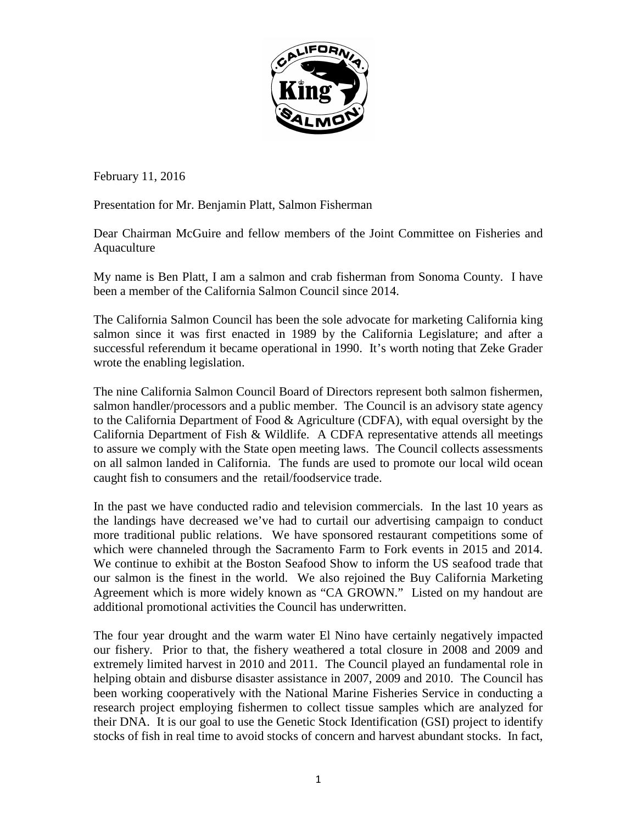

February 11, 2016

Presentation for Mr. Benjamin Platt, Salmon Fisherman

Dear Chairman McGuire and fellow members of the Joint Committee on Fisheries and Aquaculture

My name is Ben Platt, I am a salmon and crab fisherman from Sonoma County. I have been a member of the California Salmon Council since 2014.

The California Salmon Council has been the sole advocate for marketing California king salmon since it was first enacted in 1989 by the California Legislature; and after a successful referendum it became operational in 1990. It's worth noting that Zeke Grader wrote the enabling legislation.

The nine California Salmon Council Board of Directors represent both salmon fishermen, salmon handler/processors and a public member. The Council is an advisory state agency to the California Department of Food & Agriculture (CDFA), with equal oversight by the California Department of Fish & Wildlife. A CDFA representative attends all meetings to assure we comply with the State open meeting laws. The Council collects assessments on all salmon landed in California. The funds are used to promote our local wild ocean caught fish to consumers and the retail/foodservice trade.

In the past we have conducted radio and television commercials. In the last 10 years as the landings have decreased we've had to curtail our advertising campaign to conduct more traditional public relations. We have sponsored restaurant competitions some of which were channeled through the Sacramento Farm to Fork events in 2015 and 2014. We continue to exhibit at the Boston Seafood Show to inform the US seafood trade that our salmon is the finest in the world. We also rejoined the Buy California Marketing Agreement which is more widely known as "CA GROWN." Listed on my handout are additional promotional activities the Council has underwritten.

The four year drought and the warm water El Nino have certainly negatively impacted our fishery. Prior to that, the fishery weathered a total closure in 2008 and 2009 and extremely limited harvest in 2010 and 2011. The Council played an fundamental role in helping obtain and disburse disaster assistance in 2007, 2009 and 2010. The Council has been working cooperatively with the National Marine Fisheries Service in conducting a research project employing fishermen to collect tissue samples which are analyzed for their DNA. It is our goal to use the Genetic Stock Identification (GSI) project to identify stocks of fish in real time to avoid stocks of concern and harvest abundant stocks. In fact,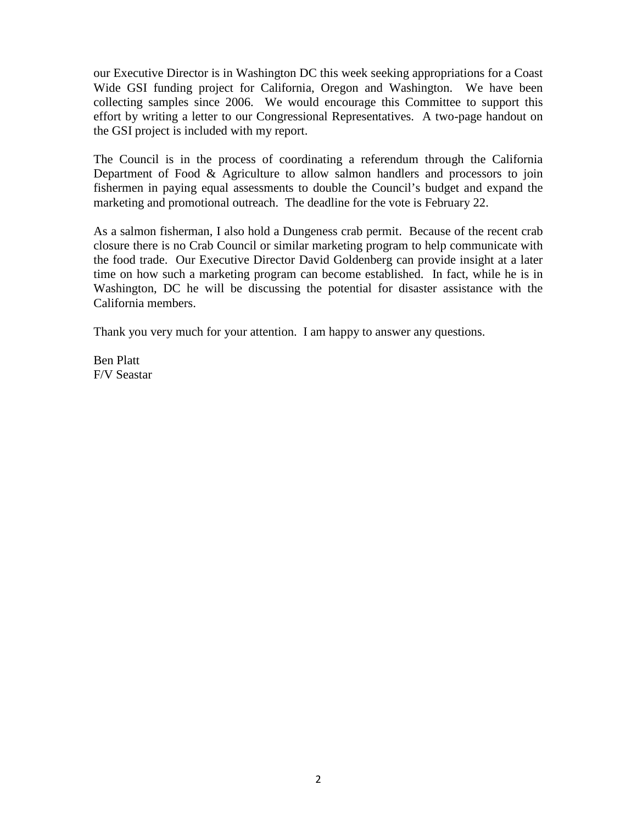our Executive Director is in Washington DC this week seeking appropriations for a Coast Wide GSI funding project for California, Oregon and Washington. We have been collecting samples since 2006. We would encourage this Committee to support this effort by writing a letter to our Congressional Representatives. A two-page handout on the GSI project is included with my report.

The Council is in the process of coordinating a referendum through the California Department of Food & Agriculture to allow salmon handlers and processors to join fishermen in paying equal assessments to double the Council's budget and expand the marketing and promotional outreach. The deadline for the vote is February 22.

As a salmon fisherman, I also hold a Dungeness crab permit. Because of the recent crab closure there is no Crab Council or similar marketing program to help communicate with the food trade. Our Executive Director David Goldenberg can provide insight at a later time on how such a marketing program can become established. In fact, while he is in Washington, DC he will be discussing the potential for disaster assistance with the California members.

Thank you very much for your attention. I am happy to answer any questions.

Ben Platt F/V Seastar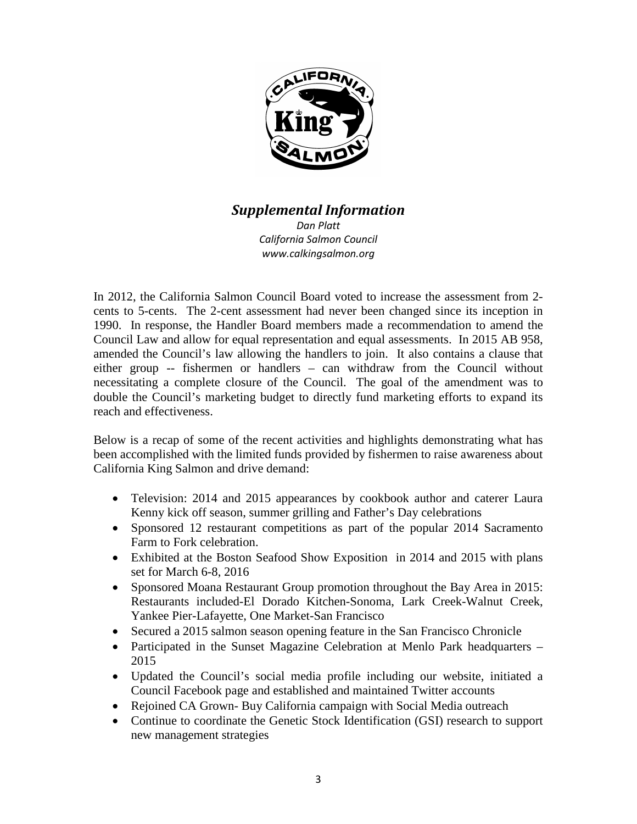

## *Supplemental Information*

*Dan Platt California Salmon Council www.calkingsalmon.org*

In 2012, the California Salmon Council Board voted to increase the assessment from 2 cents to 5-cents. The 2-cent assessment had never been changed since its inception in 1990. In response, the Handler Board members made a recommendation to amend the Council Law and allow for equal representation and equal assessments. In 2015 AB 958, amended the Council's law allowing the handlers to join. It also contains a clause that either group -- fishermen or handlers – can withdraw from the Council without necessitating a complete closure of the Council. The goal of the amendment was to double the Council's marketing budget to directly fund marketing efforts to expand its reach and effectiveness.

Below is a recap of some of the recent activities and highlights demonstrating what has been accomplished with the limited funds provided by fishermen to raise awareness about California King Salmon and drive demand:

- Television: 2014 and 2015 appearances by cookbook author and caterer Laura Kenny kick off season, summer grilling and Father's Day celebrations
- Sponsored 12 restaurant competitions as part of the popular 2014 Sacramento Farm to Fork celebration.
- Exhibited at the Boston Seafood Show Exposition in 2014 and 2015 with plans set for March 6-8, 2016
- Sponsored Moana Restaurant Group promotion throughout the Bay Area in 2015: Restaurants included-El Dorado Kitchen-Sonoma, Lark Creek-Walnut Creek, Yankee Pier-Lafayette, One Market-San Francisco
- Secured a 2015 salmon season opening feature in the San Francisco Chronicle
- Participated in the Sunset Magazine Celebration at Menlo Park headquarters 2015
- Updated the Council's social media profile including our website, initiated a Council Facebook page and established and maintained Twitter accounts
- Rejoined CA Grown- Buy California campaign with Social Media outreach
- Continue to coordinate the Genetic Stock Identification (GSI) research to support new management strategies